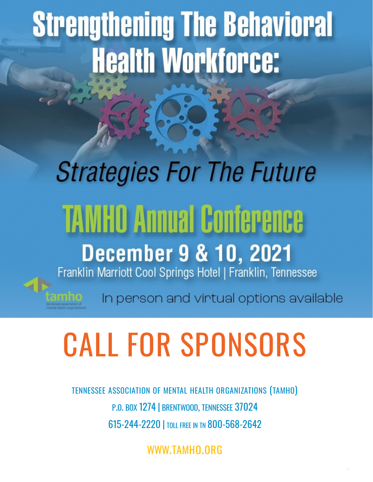# **Strengthening The Behavioral Health Workforce:**

## **Strategies For The Future TAMHO Annual Conference December 9 & 10, 2021** Franklin Marriott Cool Springs Hotel | Franklin, Tennessee

In person and virtual options available

**1**

# **CALL FOR SPONSORS**

**TENNESSEE ASSOCIATION OF MENTAL HEALTH ORGANIZATIONS (TAMHO)** P.O. BOX 1274 | BRENTWOOD, TENNESSEE 37024 615-244-2220 | TOLL FREE IN TN 800-568-2642

**WWW.TAMHO.ORG**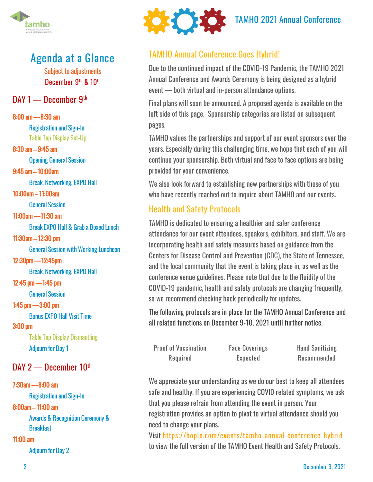

## **Agenda at a Glance**

Subject to adjustments December 9th & 10th

#### DAY 1 — December 9th

8:00 am — 8:30 am

Registration and Sign-In Table Top Display Set-Up

8:30 am – 9:45 am

Opening General Session

9:45 am – 10:00am

Break, Networking, EXPO Hall

10:00am – 11:00am

General Session

#### 11:00am — 11:30 am

Break EXPO Hall & Grab a Boxed Lunch

11:30am – 12:30 pm

General Session with Working Luncheon

12:30pm — 12:45pm

Break, Networking, EXPO Hall

#### 12:45 pm — 1:45 pm

General Session

#### 1:45 pm — 3:00 pm

Bonus EXPO Hall Visit Time

#### 3:00 pm

Table Top Display Dismantling Adjourn for Day 1

#### DAY 2 - December 10th

#### 7:30am — 8:00 am

Registration and Sign-In

#### 8:00am – 11:00 am

Awards & Recognition Ceremony & **Breakfast** 

#### 11:00 am

Adjourn for Day 2



## TAMHO 2021 Annual Conference

#### TAMHO Annual Conference Goes Hybrid!

Due to the continued impact of the COVID-19 Pandemic, the TAMHO 2021 Annual Conference and Awards Ceremony is being designed as a hybrid event — both virtual and in-person attendance options.

Final plans will soon be announced. A proposed agenda is available on the left side of this page. Sponsorship categories are listed on subsequent pages.

TAMHO values the partnerships and support of our event sponsors over the years. Especially during this challenging time, we hope that each of you will continue your sponsorship. Both virtual and face to face options are being provided for your convenience.

We also look forward to establishing new partnerships with those of you who have recently reached out to inquire about TAMHO and our events.

#### Health and Safety Protocols

TAMHO is dedicated to ensuring a healthier and safer conference attendance for our event attendees, speakers, exhibitors, and staff. We are incorporating health and safety measures based on guidance from the Centers for Disease Control and Prevention (CDC), the State of Tennessee, and the local community that the event is taking place in, as well as the conference venue guidelines. Please note that due to the fluidity of the COVID-19 pandemic, health and safety protocols are changing frequently, so we recommend checking back periodically for updates.

The following protocols are in place for the TAMHO Annual Conference and all related functions on December 9-10, 2021 until further notice.

Proof of Vaccination Required

Face Coverings Expected

Hand Sanitizing Recommended

We appreciate your understanding as we do our best to keep all attendees safe and healthy. If you are experiencing COVID related symptoms, we ask that you please refrain from attending the event in person. Your registration provides an option to pivot to virtual attendance should you need to change your plans.

Visit [https://hopin.com/events/tamho](https://hopin.com/events/tamho-annual-conference-hybrid)-annual-conference-hybrid to view the full version of the TAMHO Event Health and Safety Protocols.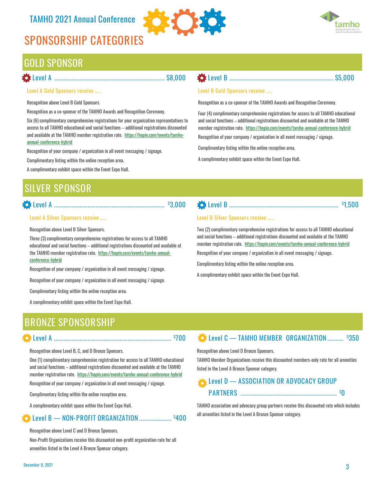### TAMHO 2021 Annual Conference

## **SPONSORSHIP CATEGORIES**



### GOLD SPONSOR

#### **Level A ..................................................................... \$8,000**

#### **Level A Gold Sponsors receive …..**

Recognition above Level B Gold Sponsors.

Recognition as a co-sponsor of the TAMHO Awards and Recognition Ceremony.

Six (6) complimentary comprehensive registrations for your organization representatives to access to all TAMHO educational and social functions – additional registrations discounted and available at the TAMHO member registration rate. [https://hopin.com/events/tamho](https://hopin.com/events/tamho-annual-conference-hybrid)annual-[conference](https://hopin.com/events/tamho-annual-conference-hybrid)-hybrid

Recognition of your company / organization in all event messaging / signage.

Complimentary listing within the online reception area.

A complimentary exhibit space within the Event Expo Hall.

### **Level B Gold Sponsors receive …..**

Recognition as a co-sponsor of the TAMHO Awards and Recognition Ceremony.

Four (4) complimentary comprehensive registrations for access to all TAMHO educational and social functions – additional registrations discounted and available at the TAMHO member registration rate. [https://hopin.com/events/tamho](https://hopin.com/events/tamho-annual-conference-hybrid)-annual-conference-hybrid

**Level B ................................................................. \$5,000**

Recognition of your company / organization in all event messaging / signage.

Complimentary listing within the online reception area.

A complimentary exhibit space within the Event Expo Hall.

## **SILVER SPONSOR**

### **Level A ..................................................................... \$3,000**

#### **Level A Silver Sponsors receive …..**

Recognition above Level B Silver Sponsors.

Three (3) complimentary comprehensive registrations for access to all TAMHO educational and social functions – additional registrations discounted and available at the TAMHO member registration rate. [https://hopin.com/events/tamho](https://hopin.com/events/tamho-annual-conference-hybrid)-annual[conference](https://hopin.com/events/tamho-annual-conference-hybrid)-hybrid

Recognition of your company / organization in all event messaging / signage.

Recognition of your company / organization in all event messaging / signage.

Complimentary listing within the online reception area.

A complimentary exhibit space within the Event Expo Hall.

### **Level B Silver Sponsors receive …..**

Two (2) complimentary comprehensive registrations for access to all TAMHO educational and social functions – additional registrations discounted and available at the TAMHO member registration rate. [https://hopin.com/events/tamho](https://hopin.com/events/tamho-annual-conference-hybrid)-annual-conference-hybrid

**Level B .................................................................... \$ 1,500**

Recognition of your company / organization in all event messaging / signage.

Complimentary listing within the online reception area.

A complimentary exhibit space within the Event Expo Hall.

## **BRONZE SPONSORSHIP**

Recognition above Level B, C, and D Bronze Sponsors.

One (1) complimentary comprehensive registration for access to all TAMHO educational and social functions – additional registrations discounted and available at the TAMHO member registration rate. [https://hopin.com/events/tamho](https://hopin.com/events/tamho-annual-conference-hybrid)-annual-conference-hybrid Recognition of your company / organization in all event messaging / signage.

**Level A ......................................................................... \$ 700**

Complimentary listing within the online reception area.

A complimentary exhibit space within the Event Expo Hall.

#### **Level B — NON-PROFIT ORGANIZATION .................... \$400**

Recognition above Level C and D Bronze Sponsors.

Non-Profit Organizations receive this discounted non-profit organization rate for all amenities listed in the Level A Bronze Sponsor category.

#### **Level C — TAMHO MEMBER ORGANIZATION.......... \$350**

Recognition above Level D Bronze Sponsors.

TAMHO Member Organizations receive this discounted members-only rate for all amenities listed in the Level A Bronze Sponsor category.

#### **Level D — ASSOCIATION OR ADVOCACY GROUP PARTNERS ............................................................ \$0**

TAMHO association and advocacy group partners receive this discounted rate which includes all amenities listed in the Level A Bronze Sponsor category.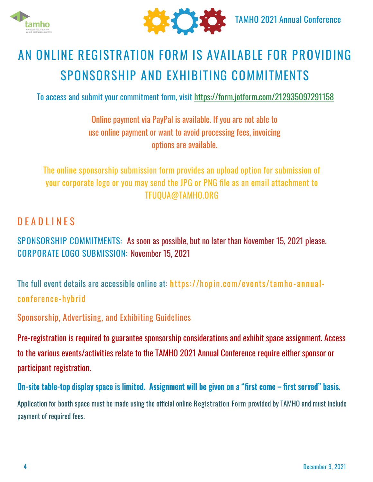



## **AN ONLINE REGISTRATION FORM IS AVAILABLE FOR PROVIDING SPONSORSHIP AND EXHIBITING COMMITMENTS**

To access and submit your commitment form, visit <https://form.jotform.com/212935097291158>

Online payment via PayPal is available. If you are not able to use online payment or want to avoid processing fees, invoicing options are available.

The online sponsorship submission form provides an upload option for submission of your corporate logo or you may send the JPG or PNG file as an email attachment to TFUQUA@TAMHO.ORG

### **D E A D L I N E S**

**SPONSORSHIP COMMITMENTS:** As soon as possible, but no later than November 15, 2021 please. **CORPORATE LOGO SUBMISSION:** November 15, 2021

The full event details are accessible online at: [https://hopin.com/events/tamho](https://hopin.com/events/tamho-annual-conference-hybrid)-annual[conference](https://hopin.com/events/tamho-annual-conference-hybrid)-hybrid

**Sponsorship, Advertising, and Exhibiting Guidelines**

Pre-registration is required to guarantee sponsorship considerations and exhibit space assignment. Access to the various events/activities relate to the TAMHO 2021 Annual Conference require either sponsor or participant registration.

On-site table-top display space is limited. Assignment will be given on a "first come – first served" basis.

Application for booth space must be made using the official online **Registration Form** provided by TAMHO and must include payment of required fees.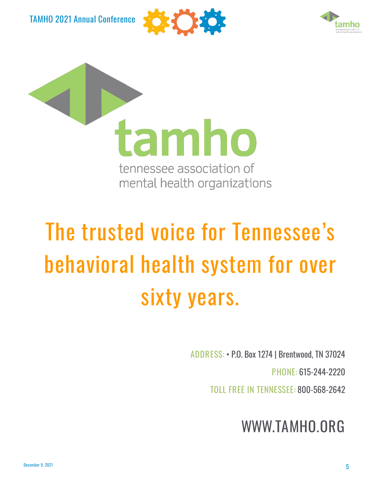TAMHO 2021 Annual Conference





tamho tennessee association of mental health organizations

## **The trusted voice for Tennessee's behavioral health system for over sixty years.**

**ADDRESS**: • P.O. Box 1274 | Brentwood, TN 37024

**PHONE**: 615-244-2220

**TOLL FREE IN TENNESSEE**: 800-568-2642

## **WWW.TAMHO.ORG**